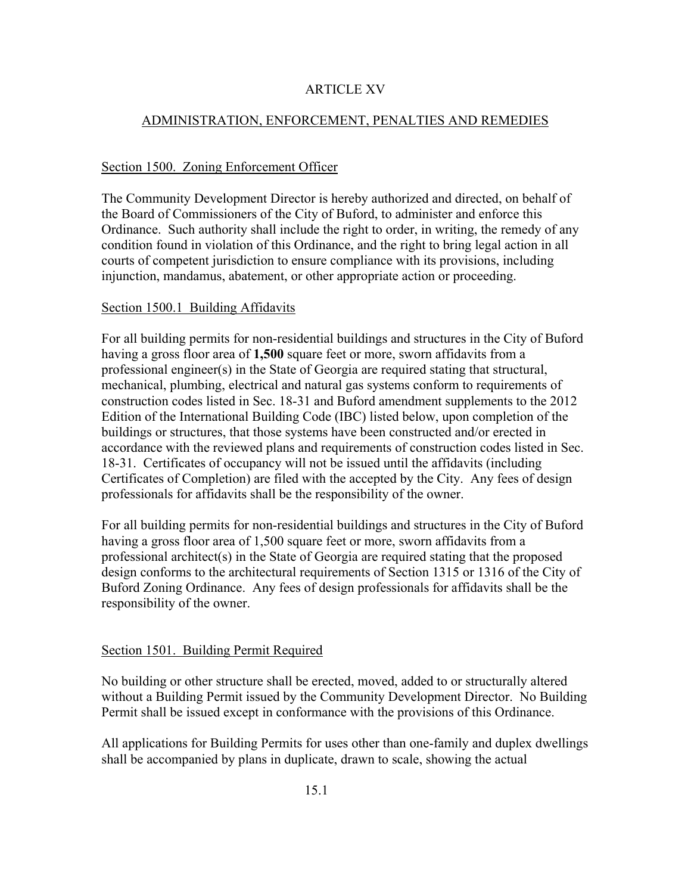## ARTICLE XV

# ADMINISTRATION, ENFORCEMENT, PENALTIES AND REMEDIES

## Section 1500. Zoning Enforcement Officer

The Community Development Director is hereby authorized and directed, on behalf of the Board of Commissioners of the City of Buford, to administer and enforce this Ordinance. Such authority shall include the right to order, in writing, the remedy of any condition found in violation of this Ordinance, and the right to bring legal action in all courts of competent jurisdiction to ensure compliance with its provisions, including injunction, mandamus, abatement, or other appropriate action or proceeding.

#### Section 1500.1 Building Affidavits

For all building permits for non-residential buildings and structures in the City of Buford having a gross floor area of **1,500** square feet or more, sworn affidavits from a professional engineer(s) in the State of Georgia are required stating that structural, mechanical, plumbing, electrical and natural gas systems conform to requirements of construction codes listed in Sec. 18-31 and Buford amendment supplements to the 2012 Edition of the International Building Code (IBC) listed below, upon completion of the buildings or structures, that those systems have been constructed and/or erected in accordance with the reviewed plans and requirements of construction codes listed in Sec. 18-31. Certificates of occupancy will not be issued until the affidavits (including Certificates of Completion) are filed with the accepted by the City. Any fees of design professionals for affidavits shall be the responsibility of the owner.

For all building permits for non-residential buildings and structures in the City of Buford having a gross floor area of 1,500 square feet or more, sworn affidavits from a professional architect(s) in the State of Georgia are required stating that the proposed design conforms to the architectural requirements of Section 1315 or 1316 of the City of Buford Zoning Ordinance. Any fees of design professionals for affidavits shall be the responsibility of the owner.

## Section 1501. Building Permit Required

No building or other structure shall be erected, moved, added to or structurally altered without a Building Permit issued by the Community Development Director. No Building Permit shall be issued except in conformance with the provisions of this Ordinance.

All applications for Building Permits for uses other than one-family and duplex dwellings shall be accompanied by plans in duplicate, drawn to scale, showing the actual